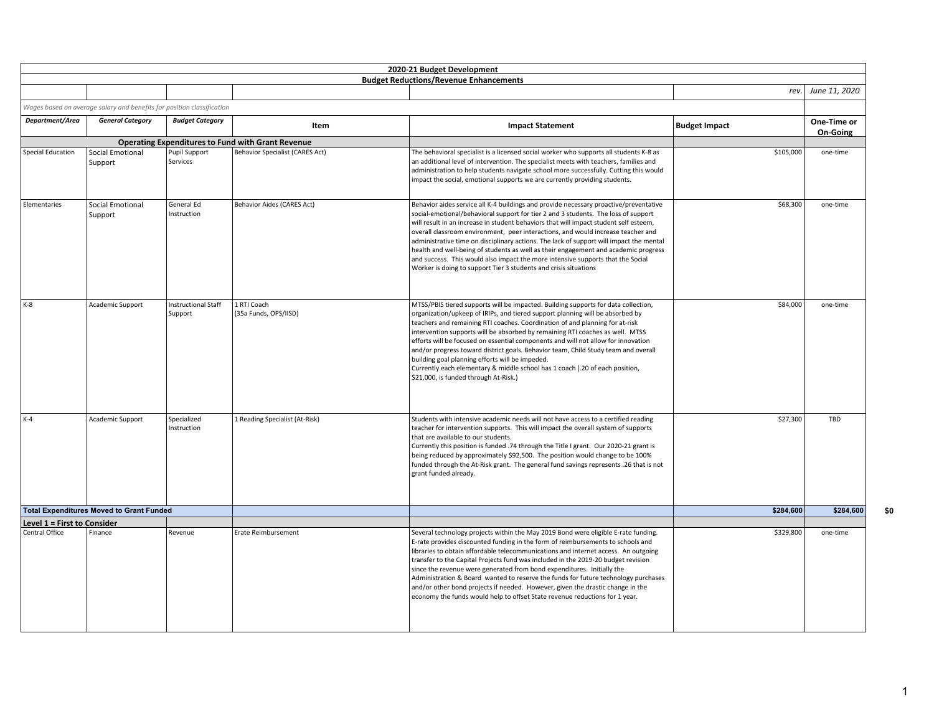|                             |                                                                        |                                       |                                                          | 2020-21 Budget Development                                                                                                                                                                                                                                                                                                                                                                                                                                                                                                                                                                                                                                                                        |                      |                         |
|-----------------------------|------------------------------------------------------------------------|---------------------------------------|----------------------------------------------------------|---------------------------------------------------------------------------------------------------------------------------------------------------------------------------------------------------------------------------------------------------------------------------------------------------------------------------------------------------------------------------------------------------------------------------------------------------------------------------------------------------------------------------------------------------------------------------------------------------------------------------------------------------------------------------------------------------|----------------------|-------------------------|
|                             |                                                                        |                                       |                                                          | <b>Budget Reductions/Revenue Enhancements</b>                                                                                                                                                                                                                                                                                                                                                                                                                                                                                                                                                                                                                                                     | rev.                 | June 11, 2020           |
|                             |                                                                        |                                       |                                                          |                                                                                                                                                                                                                                                                                                                                                                                                                                                                                                                                                                                                                                                                                                   |                      |                         |
|                             | Wages based on average salary and benefits for position classification |                                       |                                                          |                                                                                                                                                                                                                                                                                                                                                                                                                                                                                                                                                                                                                                                                                                   |                      |                         |
| Department/Area             | <b>General Category</b>                                                | <b>Budget Category</b>                | Item                                                     | <b>Impact Statement</b>                                                                                                                                                                                                                                                                                                                                                                                                                                                                                                                                                                                                                                                                           | <b>Budget Impact</b> | One-Time or<br>On-Going |
|                             |                                                                        |                                       | <b>Operating Expenditures to Fund with Grant Revenue</b> |                                                                                                                                                                                                                                                                                                                                                                                                                                                                                                                                                                                                                                                                                                   |                      |                         |
| <b>Special Education</b>    | <b>Social Emotional</b><br>Support                                     | Pupil Support<br>Services             | <b>Behavior Specialist (CARES Act)</b>                   | The behavioral specialist is a licensed social worker who supports all students K-8 as<br>an additional level of intervention. The specialist meets with teachers, families and<br>administration to help students navigate school more successfully. Cutting this would<br>impact the social, emotional supports we are currently providing students.                                                                                                                                                                                                                                                                                                                                            | \$105,000            | one-time                |
| Elementaries                | Social Emotional<br>Support                                            | General Ed<br>Instruction             | Behavior Aides (CARES Act)                               | Behavior aides service all K-4 buildings and provide necessary proactive/preventative<br>social-emotional/behavioral support for tier 2 and 3 students. The loss of support<br>will result in an increase in student behaviors that will impact student self esteem,<br>overall classroom environment, peer interactions, and would increase teacher and<br>administrative time on disciplinary actions. The lack of support will impact the mental<br>health and well-being of students as well as their engagement and academic progress<br>and success. This would also impact the more intensive supports that the Social<br>Worker is doing to support Tier 3 students and crisis situations | \$68,300             | one-time                |
| $K-8$                       | Academic Support                                                       | <b>Instructional Staff</b><br>Support | 1 RTI Coach<br>(35a Funds, OPS/IISD)                     | MTSS/PBIS tiered supports will be impacted. Building supports for data collection,<br>organization/upkeep of IRIPs, and tiered support planning will be absorbed by<br>teachers and remaining RTI coaches. Coordination of and planning for at-risk<br>intervention supports will be absorbed by remaining RTI coaches as well. MTSS<br>efforts will be focused on essential components and will not allow for innovation<br>and/or progress toward district goals. Behavior team, Child Study team and overall<br>building goal planning efforts will be impeded.<br>Currently each elementary & middle school has 1 coach (.20 of each position,<br>\$21,000, is funded through At-Risk.)       | \$84,000             | one-time                |
| $K-4$                       | Academic Support                                                       | Specialized<br>Instruction            | 1 Reading Specialist (At-Risk)                           | Students with intensive academic needs will not have access to a certified reading<br>teacher for intervention supports. This will impact the overall system of supports<br>that are available to our students.<br>Currently this position is funded .74 through the Title I grant. Our 2020-21 grant is<br>being reduced by approximately \$92,500. The position would change to be 100%<br>funded through the At-Risk grant. The general fund savings represents .26 that is not<br>grant funded already.                                                                                                                                                                                       | \$27,300             | TBD                     |
|                             | <b>Total Expenditures Moved to Grant Funded</b>                        |                                       |                                                          |                                                                                                                                                                                                                                                                                                                                                                                                                                                                                                                                                                                                                                                                                                   | \$284,600            | \$284,600               |
| Level 1 = First to Consider |                                                                        |                                       |                                                          |                                                                                                                                                                                                                                                                                                                                                                                                                                                                                                                                                                                                                                                                                                   |                      |                         |
| Central Office              | Finance                                                                | Revenue                               | Erate Reimbursement                                      | Several technology projects within the May 2019 Bond were eligible E-rate funding.<br>E-rate provides discounted funding in the form of reimbursements to schools and<br>libraries to obtain affordable telecommunications and internet access. An outgoing<br>transfer to the Capital Projects fund was included in the 2019-20 budget revision<br>since the revenue were generated from bond expenditures. Initially the<br>Administration & Board wanted to reserve the funds for future technology purchases<br>and/or other bond projects if needed. However, given the drastic change in the<br>economy the funds would help to offset State revenue reductions for 1 year.                 | \$329,800            | one-time                |

**\$0**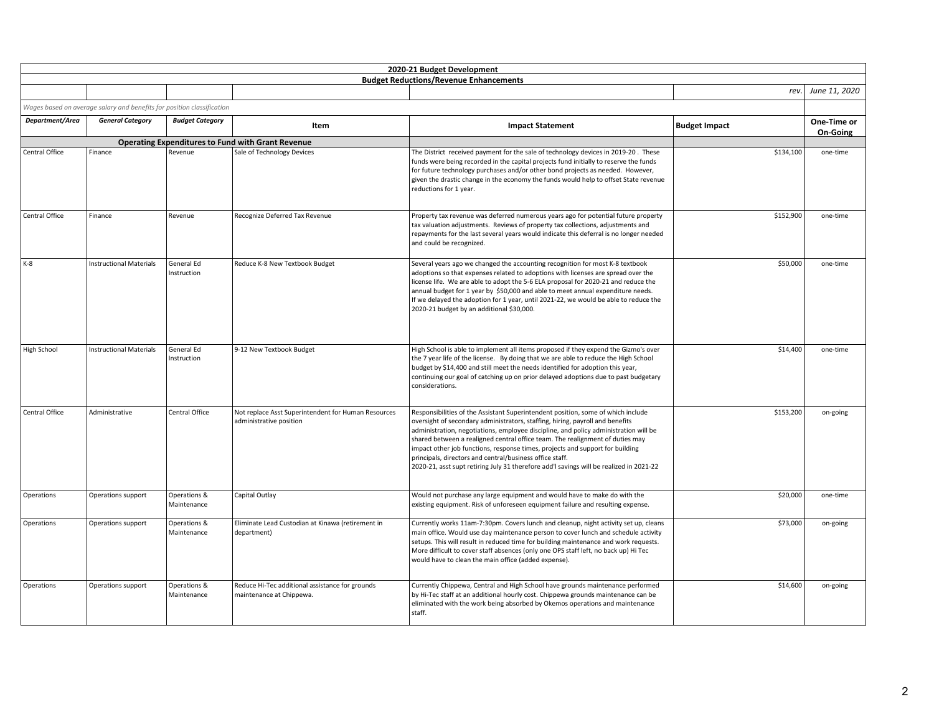|                       |                                                                        |                             |                                                                                | 2020-21 Budget Development                                                                                                                                                                                                                                                                                                                                                                                                                                                                                                                                                         |                      |                         |
|-----------------------|------------------------------------------------------------------------|-----------------------------|--------------------------------------------------------------------------------|------------------------------------------------------------------------------------------------------------------------------------------------------------------------------------------------------------------------------------------------------------------------------------------------------------------------------------------------------------------------------------------------------------------------------------------------------------------------------------------------------------------------------------------------------------------------------------|----------------------|-------------------------|
|                       |                                                                        |                             |                                                                                | <b>Budget Reductions/Revenue Enhancements</b>                                                                                                                                                                                                                                                                                                                                                                                                                                                                                                                                      |                      | rev. June 11, 2020      |
|                       |                                                                        |                             |                                                                                |                                                                                                                                                                                                                                                                                                                                                                                                                                                                                                                                                                                    |                      |                         |
|                       | Wages based on average salary and benefits for position classification |                             |                                                                                |                                                                                                                                                                                                                                                                                                                                                                                                                                                                                                                                                                                    |                      |                         |
| Department/Area       | <b>General Category</b>                                                | <b>Budget Category</b>      | Item                                                                           | <b>Impact Statement</b>                                                                                                                                                                                                                                                                                                                                                                                                                                                                                                                                                            | <b>Budget Impact</b> | One-Time or<br>On-Going |
|                       |                                                                        |                             | <b>Operating Expenditures to Fund with Grant Revenue</b>                       |                                                                                                                                                                                                                                                                                                                                                                                                                                                                                                                                                                                    |                      |                         |
| Central Office        | Finance                                                                | Revenue                     | Sale of Technology Devices                                                     | The District received payment for the sale of technology devices in 2019-20. These<br>funds were being recorded in the capital projects fund initially to reserve the funds<br>for future technology purchases and/or other bond projects as needed. However,<br>given the drastic change in the economy the funds would help to offset State revenue<br>reductions for 1 year.                                                                                                                                                                                                    | \$134,100            | one-time                |
| Central Office        | Finance                                                                | Revenue                     | Recognize Deferred Tax Revenue                                                 | Property tax revenue was deferred numerous years ago for potential future property<br>tax valuation adjustments. Reviews of property tax collections, adjustments and<br>repayments for the last several years would indicate this deferral is no longer needed<br>and could be recognized.                                                                                                                                                                                                                                                                                        | \$152,900            | one-time                |
| $K-8$                 | <b>Instructional Materials</b>                                         | General Ed<br>Instruction   | Reduce K-8 New Textbook Budget                                                 | Several years ago we changed the accounting recognition for most K-8 textbook<br>adoptions so that expenses related to adoptions with licenses are spread over the<br>license life. We are able to adopt the 5-6 ELA proposal for 2020-21 and reduce the<br>annual budget for 1 year by \$50,000 and able to meet annual expenditure needs.<br>If we delayed the adoption for 1 year, until 2021-22, we would be able to reduce the<br>2020-21 budget by an additional \$30,000.                                                                                                   | \$50,000             | one-time                |
| <b>High School</b>    | <b>Instructional Materials</b>                                         | General Ed<br>Instruction   | 9-12 New Textbook Budget                                                       | High School is able to implement all items proposed if they expend the Gizmo's over<br>the 7 year life of the license. By doing that we are able to reduce the High School<br>budget by \$14,400 and still meet the needs identified for adoption this year,<br>continuing our goal of catching up on prior delayed adoptions due to past budgetary<br>considerations.                                                                                                                                                                                                             | \$14,400             | one-time                |
| <b>Central Office</b> | Administrative                                                         | Central Office              | Not replace Asst Superintendent for Human Resources<br>administrative position | Responsibilities of the Assistant Superintendent position, some of which include<br>oversight of secondary administrators, staffing, hiring, payroll and benefits<br>administration, negotiations, employee discipline, and policy administration will be<br>shared between a realigned central office team. The realignment of duties may<br>impact other job functions, response times, projects and support for building<br>principals, directors and central/business office staff.<br>2020-21, asst supt retiring July 31 therefore add'l savings will be realized in 2021-22 | \$153,200            | on-going                |
| Operations            | Operations support                                                     | Operations &<br>Maintenance | Capital Outlay                                                                 | Would not purchase any large equipment and would have to make do with the<br>existing equipment. Risk of unforeseen equipment failure and resulting expense.                                                                                                                                                                                                                                                                                                                                                                                                                       | \$20,000             | one-time                |
| Operations            | Operations support                                                     | Operations &<br>Maintenance | Eliminate Lead Custodian at Kinawa (retirement in<br>department)               | Currently works 11am-7:30pm. Covers lunch and cleanup, night activity set up, cleans<br>main office. Would use day maintenance person to cover lunch and schedule activity<br>setups. This will result in reduced time for building maintenance and work requests.<br>More difficult to cover staff absences (only one OPS staff left, no back up) Hi Tec<br>would have to clean the main office (added expense).                                                                                                                                                                  | \$73,000             | on-going                |
| Operations            | Operations support                                                     | Operations &<br>Maintenance | Reduce Hi-Tec additional assistance for grounds<br>maintenance at Chippewa.    | Currently Chippewa, Central and High School have grounds maintenance performed<br>by Hi-Tec staff at an additional hourly cost. Chippewa grounds maintenance can be<br>eliminated with the work being absorbed by Okemos operations and maintenance<br>staff.                                                                                                                                                                                                                                                                                                                      | \$14,600             | on-going                |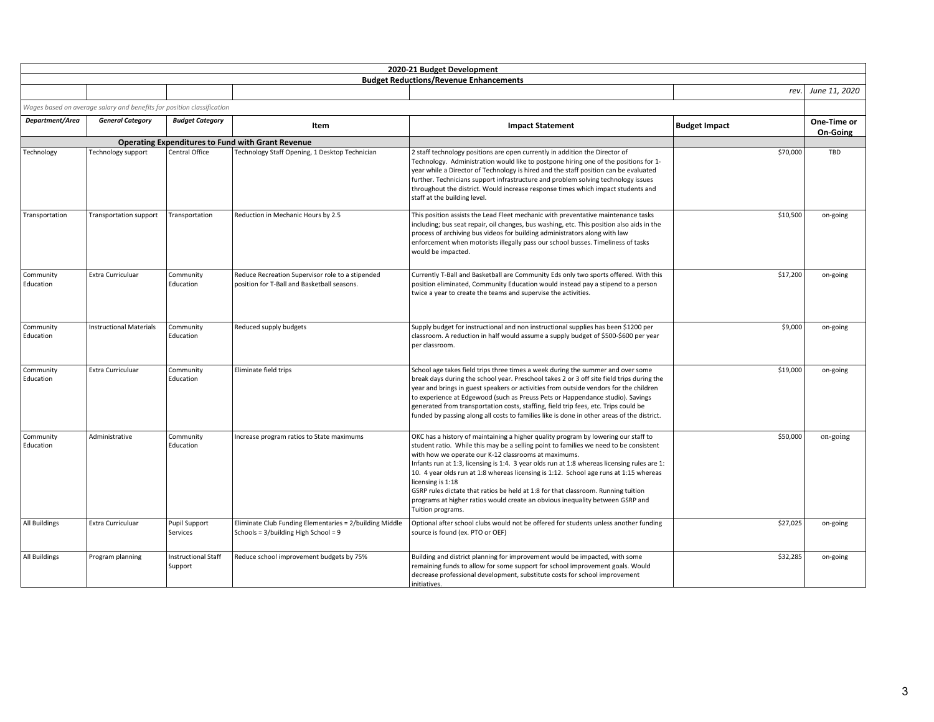|                        |                                                                        |                                       |                                                                                                 | 2020-21 Budget Development                                                                                                                                                                                                                                                                                                                                                                                                                                                                                                                                                                                                                  |                      |                         |
|------------------------|------------------------------------------------------------------------|---------------------------------------|-------------------------------------------------------------------------------------------------|---------------------------------------------------------------------------------------------------------------------------------------------------------------------------------------------------------------------------------------------------------------------------------------------------------------------------------------------------------------------------------------------------------------------------------------------------------------------------------------------------------------------------------------------------------------------------------------------------------------------------------------------|----------------------|-------------------------|
|                        |                                                                        |                                       |                                                                                                 | <b>Budget Reductions/Revenue Enhancements</b>                                                                                                                                                                                                                                                                                                                                                                                                                                                                                                                                                                                               |                      |                         |
|                        |                                                                        |                                       |                                                                                                 |                                                                                                                                                                                                                                                                                                                                                                                                                                                                                                                                                                                                                                             |                      | rev. June 11, 2020      |
|                        | Wages based on average salary and benefits for position classification |                                       |                                                                                                 |                                                                                                                                                                                                                                                                                                                                                                                                                                                                                                                                                                                                                                             |                      |                         |
| Department/Area        | <b>General Category</b>                                                | <b>Budget Category</b>                | Item                                                                                            | <b>Impact Statement</b>                                                                                                                                                                                                                                                                                                                                                                                                                                                                                                                                                                                                                     | <b>Budget Impact</b> | One-Time or<br>On-Going |
|                        |                                                                        |                                       | <b>Operating Expenditures to Fund with Grant Revenue</b>                                        |                                                                                                                                                                                                                                                                                                                                                                                                                                                                                                                                                                                                                                             |                      |                         |
| Technology             | Technology support                                                     | Central Office                        | Technology Staff Opening, 1 Desktop Technician                                                  | 2 staff technology positions are open currently in addition the Director of<br>Technology. Administration would like to postpone hiring one of the positions for 1-<br>year while a Director of Technology is hired and the staff position can be evaluated<br>further. Technicians support infrastructure and problem solving technology issues<br>throughout the district. Would increase response times which impact students and<br>staff at the building level.                                                                                                                                                                        | \$70,000             | TBD                     |
| Transportation         | Transportation support                                                 | Transportation                        | Reduction in Mechanic Hours by 2.5                                                              | This position assists the Lead Fleet mechanic with preventative maintenance tasks<br>including; bus seat repair, oil changes, bus washing, etc. This position also aids in the<br>process of archiving bus videos for building administrators along with law<br>enforcement when motorists illegally pass our school busses. Timeliness of tasks<br>would be impacted.                                                                                                                                                                                                                                                                      | \$10,500             | on-going                |
| Community<br>Education | <b>Extra Curriculuar</b>                                               | Community<br>Education                | Reduce Recreation Supervisor role to a stipended<br>position for T-Ball and Basketball seasons. | Currently T-Ball and Basketball are Community Eds only two sports offered. With this<br>position eliminated, Community Education would instead pay a stipend to a person<br>twice a year to create the teams and supervise the activities.                                                                                                                                                                                                                                                                                                                                                                                                  | \$17,200             | on-going                |
| Community<br>Education | <b>Instructional Materials</b>                                         | Community<br>Education                | Reduced supply budgets                                                                          | Supply budget for instructional and non instructional supplies has been \$1200 per<br>classroom. A reduction in half would assume a supply budget of \$500-\$600 per year<br>per classroom.                                                                                                                                                                                                                                                                                                                                                                                                                                                 | \$9,000              | on-going                |
| Community<br>Education | Extra Curriculuar                                                      | Community<br>Education                | Eliminate field trips                                                                           | School age takes field trips three times a week during the summer and over some<br>break days during the school year. Preschool takes 2 or 3 off site field trips during the<br>year and brings in guest speakers or activities from outside vendors for the children<br>to experience at Edgewood (such as Preuss Pets or Happendance studio). Savings<br>generated from transportation costs, staffing, field trip fees, etc. Trips could be<br>funded by passing along all costs to families like is done in other areas of the district.                                                                                                | \$19,000             | on-going                |
| Community<br>Education | Administrative                                                         | Community<br>Education                | Increase program ratios to State maximums                                                       | OKC has a history of maintaining a higher quality program by lowering our staff to<br>student ratio. While this may be a selling point to families we need to be consistent<br>with how we operate our K-12 classrooms at maximums.<br>Infants run at 1:3, licensing is 1:4. 3 year olds run at 1:8 whereas licensing rules are 1:<br>10. 4 year olds run at 1:8 whereas licensing is 1:12. School age runs at 1:15 whereas<br>licensing is 1:18<br>GSRP rules dictate that ratios be held at 1:8 for that classroom. Running tuition<br>programs at higher ratios would create an obvious inequality between GSRP and<br>Tuition programs. | \$50,000             | on-going                |
| All Buildings          | <b>Extra Curriculuar</b>                                               | <b>Pupil Support</b><br>Services      | Eliminate Club Funding Elementaries = 2/building Middle<br>Schools = 3/building High School = 9 | Optional after school clubs would not be offered for students unless another funding<br>source is found (ex. PTO or OEF)                                                                                                                                                                                                                                                                                                                                                                                                                                                                                                                    | \$27,025             | on-going                |
| <b>All Buildings</b>   | Program planning                                                       | <b>Instructional Staff</b><br>Support | Reduce school improvement budgets by 75%                                                        | Building and district planning for improvement would be impacted, with some<br>remaining funds to allow for some support for school improvement goals. Would<br>decrease professional development, substitute costs for school improvement<br>initiatives.                                                                                                                                                                                                                                                                                                                                                                                  | \$32,285             | on-going                |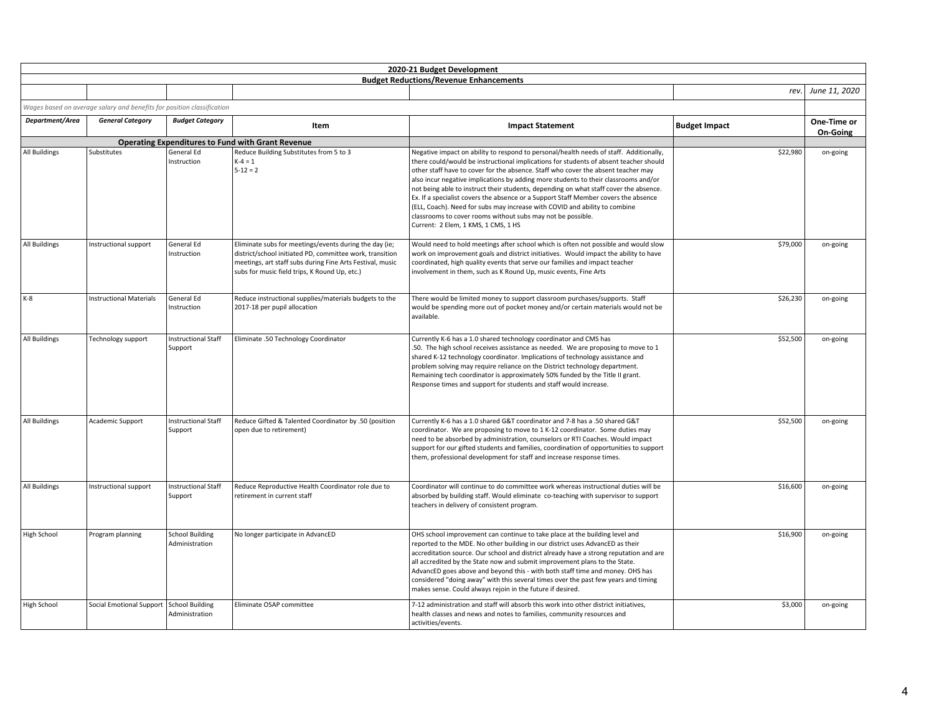|                      |                                                                        |                                          |                                                                                                                                                                                                                                  | 2020-21 Budget Development                                                                                                                                                                                                                                                                                                                                                                                                                                                                                                                                                                                                                                                                                                      |                      |                         |
|----------------------|------------------------------------------------------------------------|------------------------------------------|----------------------------------------------------------------------------------------------------------------------------------------------------------------------------------------------------------------------------------|---------------------------------------------------------------------------------------------------------------------------------------------------------------------------------------------------------------------------------------------------------------------------------------------------------------------------------------------------------------------------------------------------------------------------------------------------------------------------------------------------------------------------------------------------------------------------------------------------------------------------------------------------------------------------------------------------------------------------------|----------------------|-------------------------|
|                      |                                                                        |                                          |                                                                                                                                                                                                                                  | <b>Budget Reductions/Revenue Enhancements</b>                                                                                                                                                                                                                                                                                                                                                                                                                                                                                                                                                                                                                                                                                   |                      |                         |
|                      |                                                                        |                                          |                                                                                                                                                                                                                                  |                                                                                                                                                                                                                                                                                                                                                                                                                                                                                                                                                                                                                                                                                                                                 | rev.                 | June 11, 2020           |
|                      | Wages based on average salary and benefits for position classification |                                          |                                                                                                                                                                                                                                  |                                                                                                                                                                                                                                                                                                                                                                                                                                                                                                                                                                                                                                                                                                                                 |                      |                         |
| Department/Area      | <b>General Category</b>                                                | <b>Budget Category</b>                   | Item                                                                                                                                                                                                                             | <b>Impact Statement</b>                                                                                                                                                                                                                                                                                                                                                                                                                                                                                                                                                                                                                                                                                                         | <b>Budget Impact</b> | One-Time or<br>On-Going |
|                      |                                                                        |                                          | <b>Operating Expenditures to Fund with Grant Revenue</b>                                                                                                                                                                         |                                                                                                                                                                                                                                                                                                                                                                                                                                                                                                                                                                                                                                                                                                                                 |                      |                         |
| <b>All Buildings</b> | Substitutes                                                            | General Ed<br>Instruction                | Reduce Building Substitutes from 5 to 3<br>$K - 4 = 1$<br>$5 - 12 = 2$                                                                                                                                                           | Negative impact on ability to respond to personal/health needs of staff. Additionally,<br>there could/would be instructional implications for students of absent teacher should<br>other staff have to cover for the absence. Staff who cover the absent teacher may<br>also incur negative implications by adding more students to their classrooms and/or<br>not being able to instruct their students, depending on what staff cover the absence.<br>Ex. If a specialist covers the absence or a Support Staff Member covers the absence<br>(ELL, Coach). Need for subs may increase with COVID and ability to combine<br>classrooms to cover rooms without subs may not be possible.<br>Current: 2 Elem, 1 KMS, 1 CMS, 1 HS | \$22,980             | on-going                |
| <b>All Buildings</b> | Instructional support                                                  | General Ed<br>Instruction                | Eliminate subs for meetings/events during the day (ie;<br>district/school initiated PD, committee work, transition<br>meetings, art staff subs during Fine Arts Festival, music<br>subs for music field trips, K Round Up, etc.) | Would need to hold meetings after school which is often not possible and would slow<br>work on improvement goals and district initiatives. Would impact the ability to have<br>coordinated, high quality events that serve our families and impact teacher<br>involvement in them, such as K Round Up, music events, Fine Arts                                                                                                                                                                                                                                                                                                                                                                                                  | \$79,000             | on-going                |
| $K-8$                | <b>Instructional Materials</b>                                         | General Ed<br>Instruction                | Reduce instructional supplies/materials budgets to the<br>2017-18 per pupil allocation                                                                                                                                           | There would be limited money to support classroom purchases/supports. Staff<br>would be spending more out of pocket money and/or certain materials would not be<br>available.                                                                                                                                                                                                                                                                                                                                                                                                                                                                                                                                                   | \$26,230             | on-going                |
| <b>All Buildings</b> | Technology support                                                     | <b>Instructional Staff</b><br>Support    | Eliminate .50 Technology Coordinator                                                                                                                                                                                             | Currently K-6 has a 1.0 shared technology coordinator and CMS has<br>.50. The high school receives assistance as needed. We are proposing to move to 1<br>shared K-12 technology coordinator. Implications of technology assistance and<br>problem solving may require reliance on the District technology department.<br>Remaining tech coordinator is approximately 50% funded by the Title II grant.<br>Response times and support for students and staff would increase.                                                                                                                                                                                                                                                    | \$52,500             | on-going                |
| All Buildings        | Academic Support                                                       | <b>Instructional Staff</b><br>Support    | Reduce Gifted & Talented Coordinator by .50 (position<br>open due to retirement)                                                                                                                                                 | Currently K-6 has a 1.0 shared G&T coordinator and 7-8 has a .50 shared G&T<br>coordinator. We are proposing to move to 1 K-12 coordinator. Some duties may<br>need to be absorbed by administration, counselors or RTI Coaches. Would impact<br>support for our gifted students and families, coordination of opportunities to support<br>them, professional development for staff and increase response times.                                                                                                                                                                                                                                                                                                                | \$52,500             | on-going                |
| <b>All Buildings</b> | Instructional support                                                  | <b>Instructional Staff</b><br>Support    | Reduce Reproductive Health Coordinator role due to<br>retirement in current staff                                                                                                                                                | Coordinator will continue to do committee work whereas instructional duties will be<br>absorbed by building staff. Would eliminate co-teaching with supervisor to support<br>teachers in delivery of consistent program.                                                                                                                                                                                                                                                                                                                                                                                                                                                                                                        | \$16,600             | on-going                |
| High School          | Program planning                                                       | <b>School Building</b><br>Administration | No longer participate in AdvancED                                                                                                                                                                                                | OHS school improvement can continue to take place at the building level and<br>reported to the MDE. No other building in our district uses AdvancED as their<br>accreditation source. Our school and district already have a strong reputation and are<br>all accredited by the State now and submit improvement plans to the State.<br>AdvancED goes above and beyond this - with both staff time and money. OHS has<br>considered "doing away" with this several times over the past few years and timing<br>makes sense. Could always rejoin in the future if desired.                                                                                                                                                       | \$16,900             | on-going                |
| <b>High School</b>   | Social Emotional Support                                               | <b>School Building</b><br>Administration | Eliminate OSAP committee                                                                                                                                                                                                         | 7-12 administration and staff will absorb this work into other district initiatives,<br>health classes and news and notes to families, community resources and<br>activities/events.                                                                                                                                                                                                                                                                                                                                                                                                                                                                                                                                            | \$3,000              | on-going                |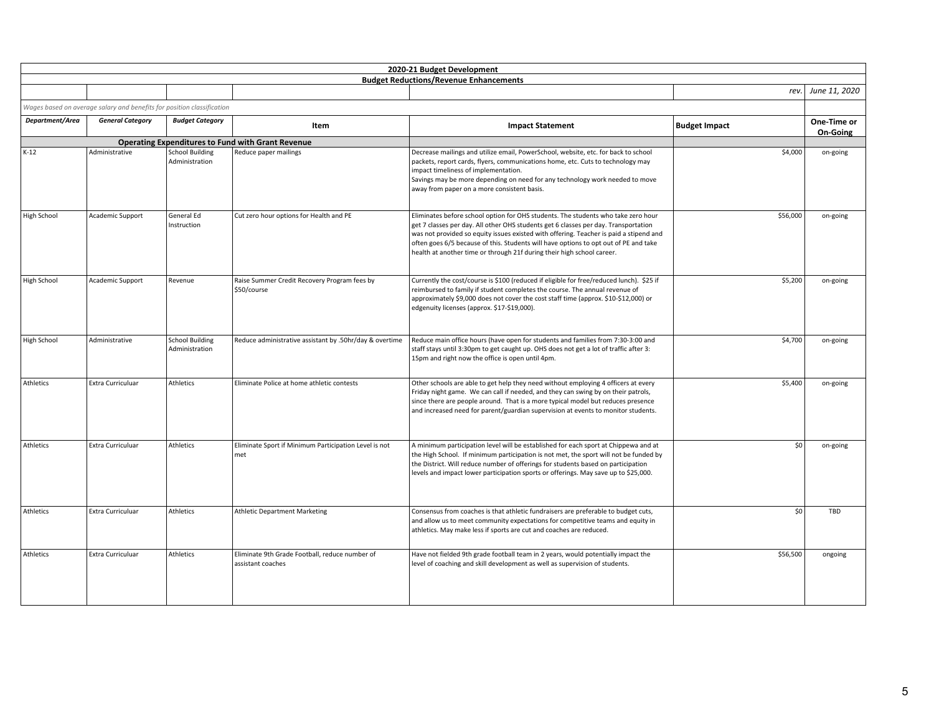|                    |                                                                        |                                          |                                                                     | 2020-21 Budget Development                                                                                                                                                                                                                                                                                                                                                                                                           |                      |                         |
|--------------------|------------------------------------------------------------------------|------------------------------------------|---------------------------------------------------------------------|--------------------------------------------------------------------------------------------------------------------------------------------------------------------------------------------------------------------------------------------------------------------------------------------------------------------------------------------------------------------------------------------------------------------------------------|----------------------|-------------------------|
|                    |                                                                        |                                          |                                                                     | <b>Budget Reductions/Revenue Enhancements</b>                                                                                                                                                                                                                                                                                                                                                                                        |                      |                         |
|                    |                                                                        |                                          |                                                                     |                                                                                                                                                                                                                                                                                                                                                                                                                                      | rev.                 | June 11, 2020           |
|                    | Wages based on average salary and benefits for position classification |                                          |                                                                     |                                                                                                                                                                                                                                                                                                                                                                                                                                      |                      |                         |
| Department/Area    | <b>General Category</b>                                                | <b>Budget Category</b>                   | Item                                                                | <b>Impact Statement</b>                                                                                                                                                                                                                                                                                                                                                                                                              | <b>Budget Impact</b> | One-Time or<br>On-Going |
|                    |                                                                        |                                          | <b>Operating Expenditures to Fund with Grant Revenue</b>            |                                                                                                                                                                                                                                                                                                                                                                                                                                      |                      |                         |
| $K-12$             | Administrative                                                         | <b>School Building</b><br>Administration | Reduce paper mailings                                               | Decrease mailings and utilize email, PowerSchool, website, etc. for back to school<br>packets, report cards, flyers, communications home, etc. Cuts to technology may<br>impact timeliness of implementation.<br>Savings may be more depending on need for any technology work needed to move<br>away from paper on a more consistent basis.                                                                                         | \$4,000              | on-going                |
| <b>High School</b> | Academic Support                                                       | General Ed<br>Instruction                | Cut zero hour options for Health and PE                             | Eliminates before school option for OHS students. The students who take zero hour<br>get 7 classes per day. All other OHS students get 6 classes per day. Transportation<br>was not provided so equity issues existed with offering. Teacher is paid a stipend and<br>often goes 6/5 because of this. Students will have options to opt out of PE and take<br>health at another time or through 21f during their high school career. | \$56,000             | on-going                |
| <b>High School</b> | Academic Support                                                       | Revenue                                  | Raise Summer Credit Recovery Program fees by<br>\$50/course         | Currently the cost/course is \$100 (reduced if eligible for free/reduced lunch). \$25 if<br>reimbursed to family if student completes the course. The annual revenue of<br>approximately \$9,000 does not cover the cost staff time (approx. \$10-\$12,000) or<br>edgenuity licenses (approx. \$17-\$19,000).                                                                                                                        | \$5,200              | on-going                |
| <b>High School</b> | Administrative                                                         | <b>School Building</b><br>Administration | Reduce administrative assistant by .50hr/day & overtime             | Reduce main office hours (have open for students and families from 7:30-3:00 and<br>staff stays until 3:30pm to get caught up. OHS does not get a lot of traffic after 3:<br>15pm and right now the office is open until 4pm.                                                                                                                                                                                                        | \$4,700              | on-going                |
| Athletics          | <b>Extra Curriculuar</b>                                               | Athletics                                | Eliminate Police at home athletic contests                          | Other schools are able to get help they need without employing 4 officers at every<br>Friday night game. We can call if needed, and they can swing by on their patrols,<br>since there are people around. That is a more typical model but reduces presence<br>and increased need for parent/guardian supervision at events to monitor students.                                                                                     | \$5,400              | on-going                |
| Athletics          | Extra Curriculuar                                                      | Athletics                                | Eliminate Sport if Minimum Participation Level is not<br>met        | A minimum participation level will be established for each sport at Chippewa and at<br>the High School. If minimum participation is not met, the sport will not be funded by<br>the District. Will reduce number of offerings for students based on participation<br>levels and impact lower participation sports or offerings. May save up to \$25,000.                                                                             | \$0                  | on-going                |
| Athletics          | Extra Curriculuar                                                      | <b>Athletics</b>                         | <b>Athletic Department Marketing</b>                                | Consensus from coaches is that athletic fundraisers are preferable to budget cuts,<br>and allow us to meet community expectations for competitive teams and equity in<br>athletics. May make less if sports are cut and coaches are reduced.                                                                                                                                                                                         | \$0                  | TBD                     |
| Athletics          | <b>Extra Curriculuar</b>                                               | Athletics                                | Eliminate 9th Grade Football, reduce number of<br>assistant coaches | Have not fielded 9th grade football team in 2 years, would potentially impact the<br>level of coaching and skill development as well as supervision of students.                                                                                                                                                                                                                                                                     | \$56,500             | ongoing                 |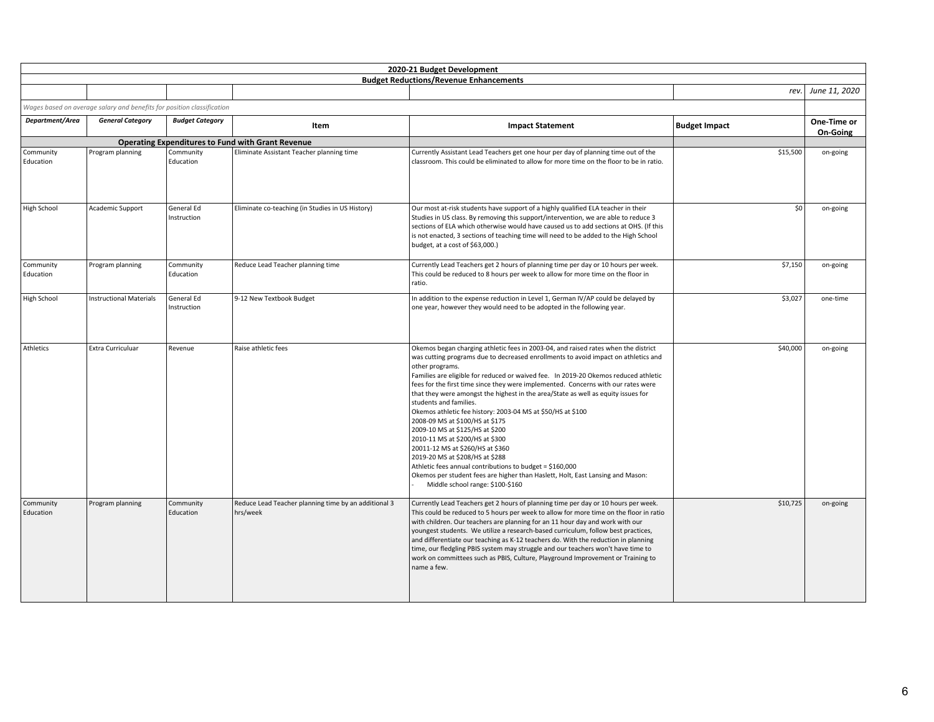|                        |                                                                        |                           |                                                                  | 2020-21 Budget Development                                                                                                                                                                                                                                                                                                                                                                                                                                                                                                                                                                                                                                                                                                                                                                                                                                                                                              |                      |                    |
|------------------------|------------------------------------------------------------------------|---------------------------|------------------------------------------------------------------|-------------------------------------------------------------------------------------------------------------------------------------------------------------------------------------------------------------------------------------------------------------------------------------------------------------------------------------------------------------------------------------------------------------------------------------------------------------------------------------------------------------------------------------------------------------------------------------------------------------------------------------------------------------------------------------------------------------------------------------------------------------------------------------------------------------------------------------------------------------------------------------------------------------------------|----------------------|--------------------|
|                        |                                                                        |                           |                                                                  | <b>Budget Reductions/Revenue Enhancements</b>                                                                                                                                                                                                                                                                                                                                                                                                                                                                                                                                                                                                                                                                                                                                                                                                                                                                           |                      | rev. June 11, 2020 |
|                        | Wages based on average salary and benefits for position classification |                           |                                                                  |                                                                                                                                                                                                                                                                                                                                                                                                                                                                                                                                                                                                                                                                                                                                                                                                                                                                                                                         |                      |                    |
| Department/Area        | <b>General Category</b>                                                | <b>Budget Category</b>    |                                                                  |                                                                                                                                                                                                                                                                                                                                                                                                                                                                                                                                                                                                                                                                                                                                                                                                                                                                                                                         |                      | One-Time or        |
|                        |                                                                        |                           | Item                                                             | <b>Impact Statement</b>                                                                                                                                                                                                                                                                                                                                                                                                                                                                                                                                                                                                                                                                                                                                                                                                                                                                                                 | <b>Budget Impact</b> | On-Going           |
|                        |                                                                        |                           | <b>Operating Expenditures to Fund with Grant Revenue</b>         |                                                                                                                                                                                                                                                                                                                                                                                                                                                                                                                                                                                                                                                                                                                                                                                                                                                                                                                         |                      |                    |
| Community<br>Education | Program planning                                                       | Community<br>Education    | Eliminate Assistant Teacher planning time                        | Currently Assistant Lead Teachers get one hour per day of planning time out of the<br>classroom. This could be eliminated to allow for more time on the floor to be in ratio.                                                                                                                                                                                                                                                                                                                                                                                                                                                                                                                                                                                                                                                                                                                                           | \$15,500             | on-going           |
| <b>High School</b>     | Academic Support                                                       | General Ed<br>Instruction | Eliminate co-teaching (in Studies in US History)                 | Our most at-risk students have support of a highly qualified ELA teacher in their<br>Studies in US class. By removing this support/intervention, we are able to reduce 3<br>sections of ELA which otherwise would have caused us to add sections at OHS. (If this<br>is not enacted, 3 sections of teaching time will need to be added to the High School<br>budget, at a cost of \$63,000.)                                                                                                                                                                                                                                                                                                                                                                                                                                                                                                                            | \$0                  | on-going           |
| Community<br>Education | Program planning                                                       | Community<br>Education    | Reduce Lead Teacher planning time                                | Currently Lead Teachers get 2 hours of planning time per day or 10 hours per week.<br>This could be reduced to 8 hours per week to allow for more time on the floor in<br>ratio.                                                                                                                                                                                                                                                                                                                                                                                                                                                                                                                                                                                                                                                                                                                                        | \$7,150              | on-going           |
| High School            | <b>Instructional Materials</b>                                         | General Ed<br>Instruction | 9-12 New Textbook Budget                                         | In addition to the expense reduction in Level 1, German IV/AP could be delayed by<br>one year, however they would need to be adopted in the following year.                                                                                                                                                                                                                                                                                                                                                                                                                                                                                                                                                                                                                                                                                                                                                             | \$3,027              | one-time           |
| Athletics              | Extra Curriculuar                                                      | Revenue                   | Raise athletic fees                                              | Okemos began charging athletic fees in 2003-04, and raised rates when the district<br>was cutting programs due to decreased enrollments to avoid impact on athletics and<br>other programs.<br>Families are eligible for reduced or waived fee. In 2019-20 Okemos reduced athletic<br>fees for the first time since they were implemented. Concerns with our rates were<br>that they were amongst the highest in the area/State as well as equity issues for<br>students and families.<br>Okemos athletic fee history: 2003-04 MS at \$50/HS at \$100<br>2008-09 MS at \$100/HS at \$175<br>2009-10 MS at \$125/HS at \$200<br>2010-11 MS at \$200/HS at \$300<br>20011-12 MS at \$260/HS at \$360<br>2019-20 MS at \$208/HS at \$288<br>Athletic fees annual contributions to budget = \$160,000<br>Okemos per student fees are higher than Haslett, Holt, East Lansing and Mason:<br>Middle school range: \$100-\$160 | \$40,000             | on-going           |
| Community<br>Education | Program planning                                                       | Community<br>Education    | Reduce Lead Teacher planning time by an additional 3<br>hrs/week | Currently Lead Teachers get 2 hours of planning time per day or 10 hours per week.<br>This could be reduced to 5 hours per week to allow for more time on the floor in ratio<br>with children. Our teachers are planning for an 11 hour day and work with our<br>youngest students. We utilize a research-based curriculum, follow best practices,<br>and differentiate our teaching as K-12 teachers do. With the reduction in planning<br>time, our fledgling PBIS system may struggle and our teachers won't have time to<br>work on committees such as PBIS, Culture, Playground Improvement or Training to<br>name a few.                                                                                                                                                                                                                                                                                          | \$10,725             | on-going           |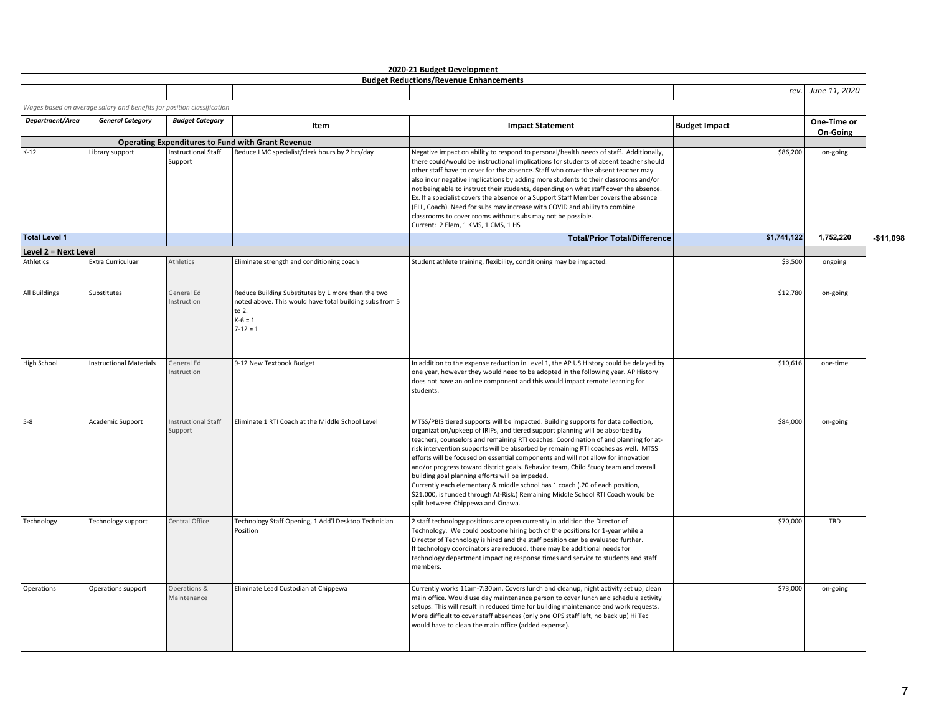|                      |                                                                                                   |                                       |                                                                                                                                                   | 2020-21 Budget Development                                                                                                                                                                                                                                                                                                                                                                                                                                                                                                                                                                                                                                                                                                                                                                |                      |                         |            |
|----------------------|---------------------------------------------------------------------------------------------------|---------------------------------------|---------------------------------------------------------------------------------------------------------------------------------------------------|-------------------------------------------------------------------------------------------------------------------------------------------------------------------------------------------------------------------------------------------------------------------------------------------------------------------------------------------------------------------------------------------------------------------------------------------------------------------------------------------------------------------------------------------------------------------------------------------------------------------------------------------------------------------------------------------------------------------------------------------------------------------------------------------|----------------------|-------------------------|------------|
|                      |                                                                                                   |                                       |                                                                                                                                                   | <b>Budget Reductions/Revenue Enhancements</b>                                                                                                                                                                                                                                                                                                                                                                                                                                                                                                                                                                                                                                                                                                                                             | rev.                 | June 11, 2020           |            |
|                      |                                                                                                   |                                       |                                                                                                                                                   |                                                                                                                                                                                                                                                                                                                                                                                                                                                                                                                                                                                                                                                                                                                                                                                           |                      |                         |            |
| Department/Area      | Wages based on average salary and benefits for position classification<br><b>General Category</b> | <b>Budget Category</b>                | Item                                                                                                                                              | <b>Impact Statement</b>                                                                                                                                                                                                                                                                                                                                                                                                                                                                                                                                                                                                                                                                                                                                                                   | <b>Budget Impact</b> | One-Time or<br>On-Going |            |
|                      |                                                                                                   |                                       | <b>Operating Expenditures to Fund with Grant Revenue</b>                                                                                          |                                                                                                                                                                                                                                                                                                                                                                                                                                                                                                                                                                                                                                                                                                                                                                                           |                      |                         |            |
| $K-12$               | Library support                                                                                   | Instructional Staff<br>Support        | Reduce LMC specialist/clerk hours by 2 hrs/day                                                                                                    | Negative impact on ability to respond to personal/health needs of staff. Additionally,<br>there could/would be instructional implications for students of absent teacher should<br>other staff have to cover for the absence. Staff who cover the absent teacher may<br>also incur negative implications by adding more students to their classrooms and/or<br>not being able to instruct their students, depending on what staff cover the absence.<br>Ex. If a specialist covers the absence or a Support Staff Member covers the absence<br>(ELL, Coach). Need for subs may increase with COVID and ability to combine<br>classrooms to cover rooms without subs may not be possible.<br>Current: 2 Elem, 1 KMS, 1 CMS, 1 HS                                                           | \$86,200             | on-going                |            |
| <b>Total Level 1</b> |                                                                                                   |                                       |                                                                                                                                                   | <b>Total/Prior Total/Difference</b>                                                                                                                                                                                                                                                                                                                                                                                                                                                                                                                                                                                                                                                                                                                                                       | \$1,741,122          | 1,752,220               | $-$11.098$ |
| Level 2 = Next Level |                                                                                                   |                                       |                                                                                                                                                   |                                                                                                                                                                                                                                                                                                                                                                                                                                                                                                                                                                                                                                                                                                                                                                                           |                      |                         |            |
| Athletics            | Extra Curriculuar                                                                                 | Athletics                             | Eliminate strength and conditioning coach                                                                                                         | Student athlete training, flexibility, conditioning may be impacted.                                                                                                                                                                                                                                                                                                                                                                                                                                                                                                                                                                                                                                                                                                                      | \$3,500              | ongoing                 |            |
| All Buildings        | Substitutes                                                                                       | General Ed<br>Instruction             | Reduce Building Substitutes by 1 more than the two<br>noted above. This would have total building subs from 5<br>to 2.<br>$K-6=1$<br>$7 - 12 = 1$ |                                                                                                                                                                                                                                                                                                                                                                                                                                                                                                                                                                                                                                                                                                                                                                                           | \$12,780             | on-going                |            |
| <b>High School</b>   | <b>Instructional Materials</b>                                                                    | General Ed<br>Instruction             | 9-12 New Textbook Budget                                                                                                                          | In addition to the expense reduction in Level 1, the AP US History could be delayed by<br>one year, however they would need to be adopted in the following year. AP History<br>does not have an online component and this would impact remote learning for<br>students.                                                                                                                                                                                                                                                                                                                                                                                                                                                                                                                   | \$10,616             | one-time                |            |
| $5-8$                | Academic Support                                                                                  | <b>Instructional Staff</b><br>Support | Eliminate 1 RTI Coach at the Middle School Level                                                                                                  | MTSS/PBIS tiered supports will be impacted. Building supports for data collection,<br>organization/upkeep of IRIPs, and tiered support planning will be absorbed by<br>teachers, counselors and remaining RTI coaches. Coordination of and planning for at-<br>risk intervention supports will be absorbed by remaining RTI coaches as well. MTSS<br>efforts will be focused on essential components and will not allow for innovation<br>and/or progress toward district goals. Behavior team, Child Study team and overall<br>building goal planning efforts will be impeded.<br>Currently each elementary & middle school has 1 coach (.20 of each position,<br>\$21,000, is funded through At-Risk.) Remaining Middle School RTI Coach would be<br>split between Chippewa and Kinawa. | \$84,000             | on-going                |            |
| Technology           | Technology support                                                                                | Central Office                        | Technology Staff Opening, 1 Add'l Desktop Technician<br>Position                                                                                  | 2 staff technology positions are open currently in addition the Director of<br>Technology. We could postpone hiring both of the positions for 1-year while a<br>Director of Technology is hired and the staff position can be evaluated further.<br>If technology coordinators are reduced, there may be additional needs for<br>technology department impacting response times and service to students and staff<br>members.                                                                                                                                                                                                                                                                                                                                                             | \$70,000             | TBD                     |            |
| Operations           | Operations support                                                                                | Operations &<br>Maintenance           | Eliminate Lead Custodian at Chippewa                                                                                                              | Currently works 11am-7:30pm. Covers lunch and cleanup, night activity set up, clean<br>main office. Would use day maintenance person to cover lunch and schedule activity<br>setups. This will result in reduced time for building maintenance and work requests.<br>More difficult to cover staff absences (only one OPS staff left, no back up) Hi Tec<br>would have to clean the main office (added expense).                                                                                                                                                                                                                                                                                                                                                                          | \$73,000             | on-going                |            |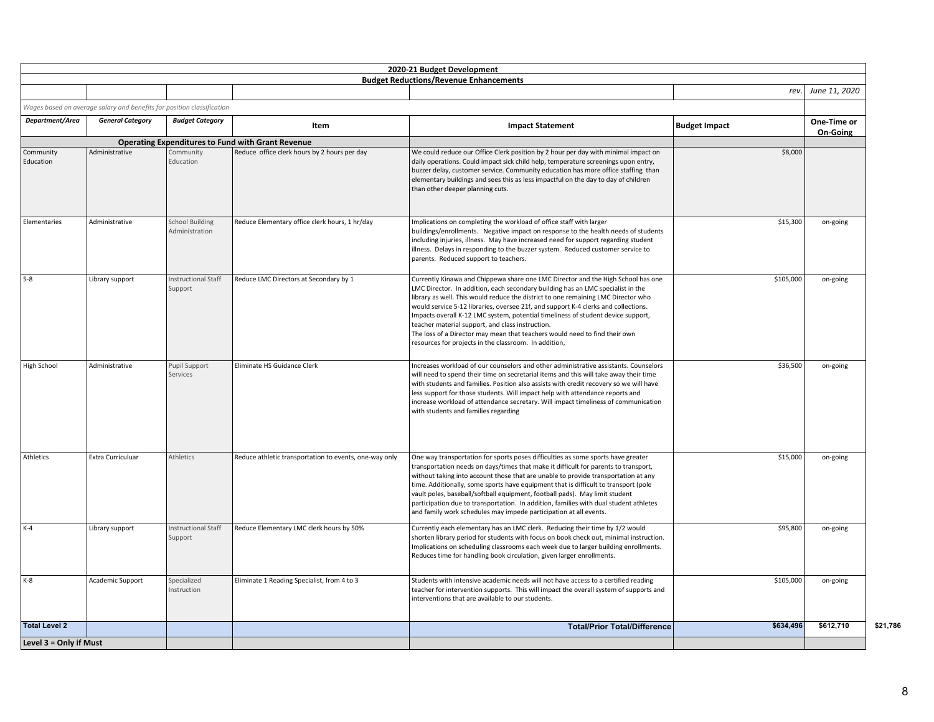|                        |                                                                                                   |                                          |                                                          | 2020-21 Budget Development                                                                                                                                                                                                                                                                                                                                                                                                                                                                                                                                                                                                    |                      |               |
|------------------------|---------------------------------------------------------------------------------------------------|------------------------------------------|----------------------------------------------------------|-------------------------------------------------------------------------------------------------------------------------------------------------------------------------------------------------------------------------------------------------------------------------------------------------------------------------------------------------------------------------------------------------------------------------------------------------------------------------------------------------------------------------------------------------------------------------------------------------------------------------------|----------------------|---------------|
|                        |                                                                                                   |                                          |                                                          | <b>Budget Reductions/Revenue Enhancements</b>                                                                                                                                                                                                                                                                                                                                                                                                                                                                                                                                                                                 | rev.                 | June 11, 2020 |
|                        |                                                                                                   |                                          |                                                          |                                                                                                                                                                                                                                                                                                                                                                                                                                                                                                                                                                                                                               |                      |               |
| Department/Area        | Wages based on average salary and benefits for position classification<br><b>General Category</b> | <b>Budget Category</b>                   |                                                          |                                                                                                                                                                                                                                                                                                                                                                                                                                                                                                                                                                                                                               |                      | One-Time or   |
|                        |                                                                                                   |                                          | Item                                                     | <b>Impact Statement</b>                                                                                                                                                                                                                                                                                                                                                                                                                                                                                                                                                                                                       | <b>Budget Impact</b> | On-Going      |
|                        |                                                                                                   |                                          | <b>Operating Expenditures to Fund with Grant Revenue</b> |                                                                                                                                                                                                                                                                                                                                                                                                                                                                                                                                                                                                                               |                      |               |
| Community<br>Education | Administrative                                                                                    | Community<br>Education                   | Reduce office clerk hours by 2 hours per day             | We could reduce our Office Clerk position by 2 hour per day with minimal impact on<br>daily operations. Could impact sick child help, temperature screenings upon entry,<br>buzzer delay, customer service. Community education has more office staffing than<br>elementary buildings and sees this as less impactful on the day to day of children<br>than other deeper planning cuts.                                                                                                                                                                                                                                       | \$8,000              |               |
| Elementaries           | Administrative                                                                                    | <b>School Building</b><br>Administration | Reduce Elementary office clerk hours, 1 hr/day           | Implications on completing the workload of office staff with larger<br>buildings/enrollments. Negative impact on response to the health needs of students<br>including injuries, illness. May have increased need for support regarding student<br>illness. Delays in responding to the buzzer system. Reduced customer service to<br>parents. Reduced support to teachers.                                                                                                                                                                                                                                                   | \$15,300             | on-going      |
| $5-8$                  | Library support                                                                                   | <b>Instructional Staff</b><br>Support    | Reduce LMC Directors at Secondary by 1                   | Currently Kinawa and Chippewa share one LMC Director and the High School has one<br>LMC Director. In addition, each secondary building has an LMC specialist in the<br>library as well. This would reduce the district to one remaining LMC Director who<br>would service 5-12 libraries, oversee 21f, and support K-4 clerks and collections.<br>Impacts overall K-12 LMC system, potential timeliness of student device support,<br>teacher material support, and class instruction.<br>The loss of a Director may mean that teachers would need to find their own<br>resources for projects in the classroom. In addition, | \$105,000            | on-going      |
| High School            | Administrative                                                                                    | Pupil Support<br>Services                | Eliminate HS Guidance Clerk                              | Increases workload of our counselors and other administrative assistants. Counselors<br>will need to spend their time on secretarial items and this will take away their time<br>with students and families. Position also assists with credit recovery so we will have<br>less support for those students. Will impact help with attendance reports and<br>increase workload of attendance secretary. Will impact timeliness of communication<br>with students and families regarding                                                                                                                                        | \$36,500             | on-going      |
| Athletics              | Extra Curriculuar                                                                                 | Athletics                                | Reduce athletic transportation to events, one-way only   | One way transportation for sports poses difficulties as some sports have greater<br>transportation needs on days/times that make it difficult for parents to transport,<br>without taking into account those that are unable to provide transportation at any<br>time. Additionally, some sports have equipment that is difficult to transport (pole<br>vault poles, baseball/softball equipment, football pads). May limit student<br>participation due to transportation. In addition, families with dual student athletes<br>and family work schedules may impede participation at all events.                             | \$15,000             | on-going      |
| $K-4$                  | Library support                                                                                   | <b>Instructional Staff</b><br>Support    | Reduce Elementary LMC clerk hours by 50%                 | Currently each elementary has an LMC clerk. Reducing their time by 1/2 would<br>shorten library period for students with focus on book check out, minimal instruction.<br>Implications on scheduling classrooms each week due to larger building enrollments.<br>Reduces time for handling book circulation, given larger enrollments.                                                                                                                                                                                                                                                                                        | \$95,800             | on-going      |
| K-8                    | Academic Support                                                                                  | Specialized<br>Instruction               | Eliminate 1 Reading Specialist, from 4 to 3              | Students with intensive academic needs will not have access to a certified reading<br>teacher for intervention supports. This will impact the overall system of supports and<br>interventions that are available to our students.                                                                                                                                                                                                                                                                                                                                                                                             | \$105,000            | on-going      |
| <b>Total Level 2</b>   |                                                                                                   |                                          |                                                          | <b>Total/Prior Total/Difference</b>                                                                                                                                                                                                                                                                                                                                                                                                                                                                                                                                                                                           | \$634,496            | \$612,710     |
| Level 3 = Only if Must |                                                                                                   |                                          |                                                          |                                                                                                                                                                                                                                                                                                                                                                                                                                                                                                                                                                                                                               |                      |               |

**\$21,786)**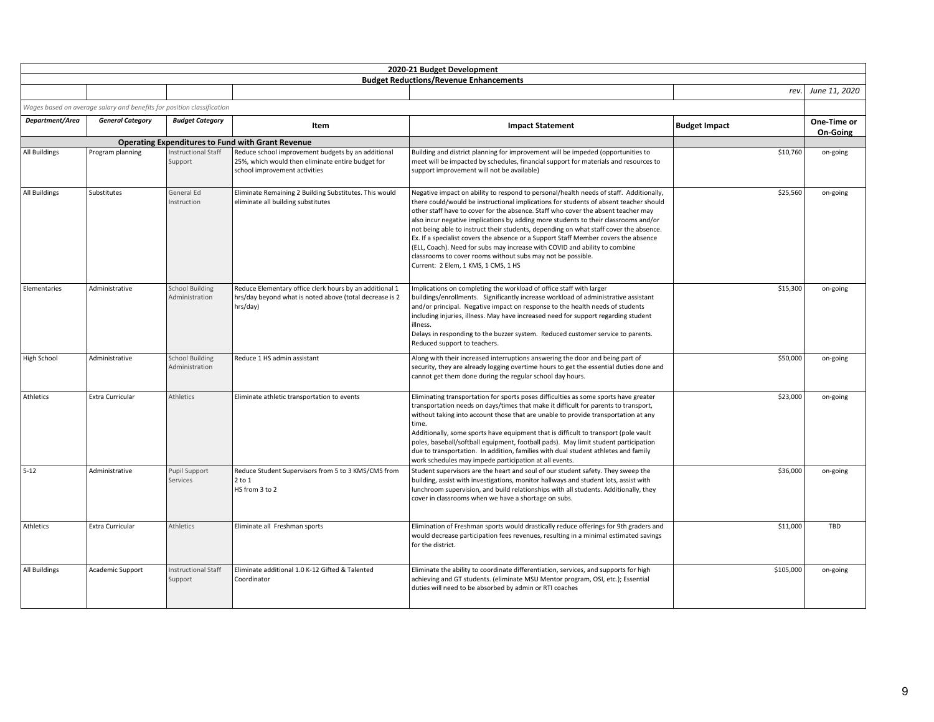|                      |                                                                        |                                          |                                                                                                                                          | 2020-21 Budget Development                                                                                                                                                                                                                                                                                                                                                                                                                                                                                                                                                                                                                                                                                                      |                      |                         |
|----------------------|------------------------------------------------------------------------|------------------------------------------|------------------------------------------------------------------------------------------------------------------------------------------|---------------------------------------------------------------------------------------------------------------------------------------------------------------------------------------------------------------------------------------------------------------------------------------------------------------------------------------------------------------------------------------------------------------------------------------------------------------------------------------------------------------------------------------------------------------------------------------------------------------------------------------------------------------------------------------------------------------------------------|----------------------|-------------------------|
|                      |                                                                        |                                          |                                                                                                                                          | <b>Budget Reductions/Revenue Enhancements</b>                                                                                                                                                                                                                                                                                                                                                                                                                                                                                                                                                                                                                                                                                   |                      |                         |
|                      |                                                                        |                                          |                                                                                                                                          |                                                                                                                                                                                                                                                                                                                                                                                                                                                                                                                                                                                                                                                                                                                                 |                      | rev. June 11, 2020      |
|                      | Wages based on average salary and benefits for position classification |                                          |                                                                                                                                          |                                                                                                                                                                                                                                                                                                                                                                                                                                                                                                                                                                                                                                                                                                                                 |                      |                         |
| Department/Area      | <b>General Category</b>                                                | <b>Budget Category</b>                   | Item                                                                                                                                     | <b>Impact Statement</b>                                                                                                                                                                                                                                                                                                                                                                                                                                                                                                                                                                                                                                                                                                         | <b>Budget Impact</b> | One-Time or<br>On-Going |
|                      |                                                                        |                                          | <b>Operating Expenditures to Fund with Grant Revenue</b>                                                                                 |                                                                                                                                                                                                                                                                                                                                                                                                                                                                                                                                                                                                                                                                                                                                 |                      |                         |
| <b>All Buildings</b> | Program planning                                                       | nstructional Staff<br>Support            | Reduce school improvement budgets by an additional<br>25%, which would then eliminate entire budget for<br>school improvement activities | Building and district planning for improvement will be impeded (opportunities to<br>meet will be impacted by schedules, financial support for materials and resources to<br>support improvement will not be available)                                                                                                                                                                                                                                                                                                                                                                                                                                                                                                          | \$10,760             | on-going                |
| All Buildings        | Substitutes                                                            | General Ed<br>Instruction                | Eliminate Remaining 2 Building Substitutes. This would<br>eliminate all building substitutes                                             | Negative impact on ability to respond to personal/health needs of staff. Additionally,<br>there could/would be instructional implications for students of absent teacher should<br>other staff have to cover for the absence. Staff who cover the absent teacher may<br>also incur negative implications by adding more students to their classrooms and/or<br>not being able to instruct their students, depending on what staff cover the absence.<br>Ex. If a specialist covers the absence or a Support Staff Member covers the absence<br>(ELL, Coach). Need for subs may increase with COVID and ability to combine<br>classrooms to cover rooms without subs may not be possible.<br>Current: 2 Elem, 1 KMS, 1 CMS, 1 HS | \$25,560             | on-going                |
| Elementaries         | Administrative                                                         | <b>School Building</b><br>Administration | Reduce Elementary office clerk hours by an additional 1<br>hrs/day beyond what is noted above (total decrease is 2<br>hrs/day)           | Implications on completing the workload of office staff with larger<br>buildings/enrollments. Significantly increase workload of administrative assistant<br>and/or principal. Negative impact on response to the health needs of students<br>including injuries, illness. May have increased need for support regarding student<br>illness.<br>Delays in responding to the buzzer system. Reduced customer service to parents.<br>Reduced support to teachers.                                                                                                                                                                                                                                                                 | \$15,300             | on-going                |
| High School          | Administrative                                                         | <b>School Building</b><br>Administration | Reduce 1 HS admin assistant                                                                                                              | Along with their increased interruptions answering the door and being part of<br>security, they are already logging overtime hours to get the essential duties done and<br>cannot get them done during the regular school day hours.                                                                                                                                                                                                                                                                                                                                                                                                                                                                                            | \$50,000             | on-going                |
| Athletics            | <b>Extra Curricular</b>                                                | <b>Athletics</b>                         | Eliminate athletic transportation to events                                                                                              | Eliminating transportation for sports poses difficulties as some sports have greater<br>transportation needs on days/times that make it difficult for parents to transport,<br>without taking into account those that are unable to provide transportation at any<br>time.<br>Additionally, some sports have equipment that is difficult to transport (pole vault<br>poles, baseball/softball equipment, football pads). May limit student participation<br>due to transportation. In addition, families with dual student athletes and family<br>work schedules may impede participation at all events.                                                                                                                        | \$23,000             | on-going                |
| $5 - 12$             | Administrative                                                         | Pupil Support<br>Services                | Reduce Student Supervisors from 5 to 3 KMS/CMS from<br>2 to 1<br>HS from 3 to 2                                                          | Student supervisors are the heart and soul of our student safety. They sweep the<br>building, assist with investigations, monitor hallways and student lots, assist with<br>lunchroom supervision, and build relationships with all students. Additionally, they<br>cover in classrooms when we have a shortage on subs.                                                                                                                                                                                                                                                                                                                                                                                                        | \$36,000             | on-going                |
| Athletics            | <b>Extra Curricular</b>                                                | Athletics                                | Eliminate all Freshman sports                                                                                                            | Elimination of Freshman sports would drastically reduce offerings for 9th graders and<br>would decrease participation fees revenues, resulting in a minimal estimated savings<br>for the district.                                                                                                                                                                                                                                                                                                                                                                                                                                                                                                                              | \$11,000             | <b>TBD</b>              |
| <b>All Buildings</b> | Academic Support                                                       | <b>Instructional Staff</b><br>Support    | Eliminate additional 1.0 K-12 Gifted & Talented<br>Coordinator                                                                           | Eliminate the ability to coordinate differentiation, services, and supports for high<br>achieving and GT students. (eliminate MSU Mentor program, OSI, etc.); Essential<br>duties will need to be absorbed by admin or RTI coaches                                                                                                                                                                                                                                                                                                                                                                                                                                                                                              | \$105,000            | on-going                |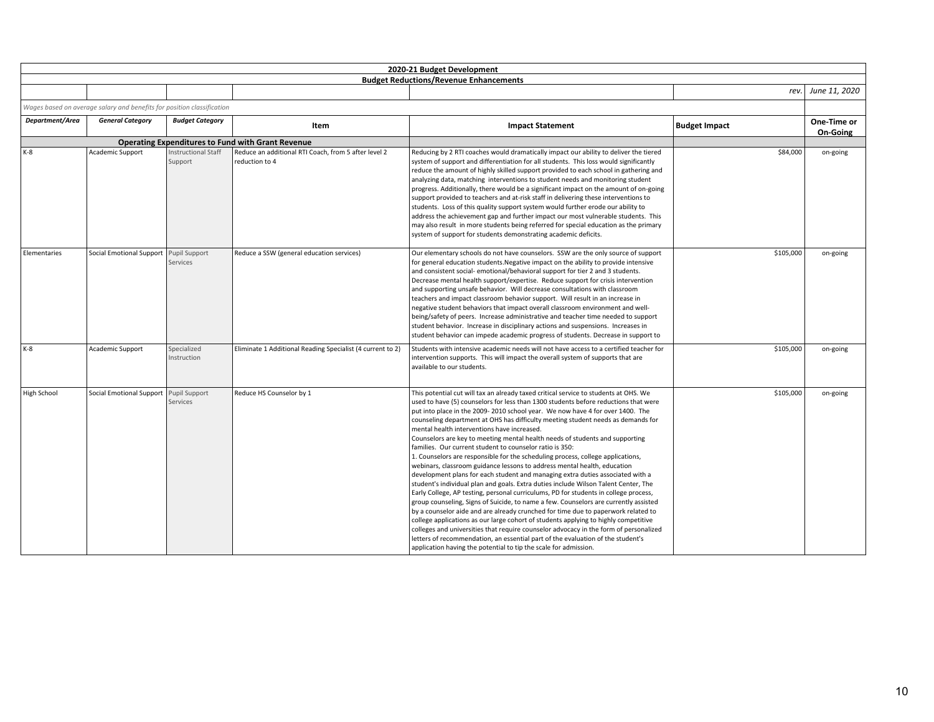|                 |                                                                        |                                       |                                                                        | 2020-21 Budget Development                                                                                                                                                                                                                                                                                                                                                                                                                                                                                                                                                                                                                                                                                                                                                                                                                                                                                                                                                                                                                                                                                                                                                                                                                                                                                                                                                                                                                                                                      |                      |                                |
|-----------------|------------------------------------------------------------------------|---------------------------------------|------------------------------------------------------------------------|-------------------------------------------------------------------------------------------------------------------------------------------------------------------------------------------------------------------------------------------------------------------------------------------------------------------------------------------------------------------------------------------------------------------------------------------------------------------------------------------------------------------------------------------------------------------------------------------------------------------------------------------------------------------------------------------------------------------------------------------------------------------------------------------------------------------------------------------------------------------------------------------------------------------------------------------------------------------------------------------------------------------------------------------------------------------------------------------------------------------------------------------------------------------------------------------------------------------------------------------------------------------------------------------------------------------------------------------------------------------------------------------------------------------------------------------------------------------------------------------------|----------------------|--------------------------------|
|                 |                                                                        |                                       |                                                                        | <b>Budget Reductions/Revenue Enhancements</b>                                                                                                                                                                                                                                                                                                                                                                                                                                                                                                                                                                                                                                                                                                                                                                                                                                                                                                                                                                                                                                                                                                                                                                                                                                                                                                                                                                                                                                                   |                      |                                |
|                 |                                                                        |                                       |                                                                        |                                                                                                                                                                                                                                                                                                                                                                                                                                                                                                                                                                                                                                                                                                                                                                                                                                                                                                                                                                                                                                                                                                                                                                                                                                                                                                                                                                                                                                                                                                 | rev.                 | June 11, 2020                  |
|                 | Wages based on average salary and benefits for position classification |                                       |                                                                        |                                                                                                                                                                                                                                                                                                                                                                                                                                                                                                                                                                                                                                                                                                                                                                                                                                                                                                                                                                                                                                                                                                                                                                                                                                                                                                                                                                                                                                                                                                 |                      |                                |
| Department/Area | <b>General Category</b>                                                | <b>Budget Category</b>                | Item                                                                   | <b>Impact Statement</b>                                                                                                                                                                                                                                                                                                                                                                                                                                                                                                                                                                                                                                                                                                                                                                                                                                                                                                                                                                                                                                                                                                                                                                                                                                                                                                                                                                                                                                                                         | <b>Budget Impact</b> | One-Time or<br><b>On-Going</b> |
|                 |                                                                        |                                       | <b>Operating Expenditures to Fund with Grant Revenue</b>               |                                                                                                                                                                                                                                                                                                                                                                                                                                                                                                                                                                                                                                                                                                                                                                                                                                                                                                                                                                                                                                                                                                                                                                                                                                                                                                                                                                                                                                                                                                 |                      |                                |
| K-8             | Academic Support                                                       | <b>Instructional Staff</b><br>Support | Reduce an additional RTI Coach, from 5 after level 2<br>reduction to 4 | Reducing by 2 RTI coaches would dramatically impact our ability to deliver the tiered<br>system of support and differentiation for all students. This loss would significantly<br>reduce the amount of highly skilled support provided to each school in gathering and<br>analyzing data, matching interventions to student needs and monitoring student<br>progress. Additionally, there would be a significant impact on the amount of on-going<br>support provided to teachers and at-risk staff in delivering these interventions to<br>students. Loss of this quality support system would further erode our ability to<br>address the achievement gap and further impact our most vulnerable students. This<br>may also result in more students being referred for special education as the primary<br>system of support for students demonstrating academic deficits.                                                                                                                                                                                                                                                                                                                                                                                                                                                                                                                                                                                                                    | \$84,000             | on-going                       |
| Elementaries    | Social Emotional Support Pupil Support                                 | Services                              | Reduce a SSW (general education services)                              | Our elementary schools do not have counselors. SSW are the only source of support<br>for general education students. Negative impact on the ability to provide intensive<br>and consistent social-emotional/behavioral support for tier 2 and 3 students.<br>Decrease mental health support/expertise. Reduce support for crisis intervention<br>and supporting unsafe behavior. Will decrease consultations with classroom<br>teachers and impact classroom behavior support. Will result in an increase in<br>negative student behaviors that impact overall classroom environment and well-<br>being/safety of peers. Increase administrative and teacher time needed to support<br>student behavior. Increase in disciplinary actions and suspensions. Increases in<br>student behavior can impede academic progress of students. Decrease in support to                                                                                                                                                                                                                                                                                                                                                                                                                                                                                                                                                                                                                                    | \$105,000            | on-going                       |
| $K-8$           | Academic Support                                                       | Specialized<br>Instruction            | Eliminate 1 Additional Reading Specialist (4 current to 2)             | Students with intensive academic needs will not have access to a certified teacher for<br>intervention supports. This will impact the overall system of supports that are<br>available to our students.                                                                                                                                                                                                                                                                                                                                                                                                                                                                                                                                                                                                                                                                                                                                                                                                                                                                                                                                                                                                                                                                                                                                                                                                                                                                                         | \$105,000            | on-going                       |
| High School     | Social Emotional Support Pupil Support                                 | Services                              | Reduce HS Counselor by 1                                               | This potential cut will tax an already taxed critical service to students at OHS. We<br>used to have (5) counselors for less than 1300 students before reductions that were<br>put into place in the 2009-2010 school year. We now have 4 for over 1400. The<br>counseling department at OHS has difficulty meeting student needs as demands for<br>mental health interventions have increased.<br>Counselors are key to meeting mental health needs of students and supporting<br>families. Our current student to counselor ratio is 350:<br>1. Counselors are responsible for the scheduling process, college applications,<br>webinars, classroom guidance lessons to address mental health, education<br>development plans for each student and managing extra duties associated with a<br>student's individual plan and goals. Extra duties include Wilson Talent Center, The<br>Early College, AP testing, personal curriculums, PD for students in college process,<br>group counseling, Signs of Suicide, to name a few. Counselors are currently assisted<br>by a counselor aide and are already crunched for time due to paperwork related to<br>college applications as our large cohort of students applying to highly competitive<br>colleges and universities that require counselor advocacy in the form of personalized<br>letters of recommendation, an essential part of the evaluation of the student's<br>application having the potential to tip the scale for admission. | \$105,000            | on-going                       |